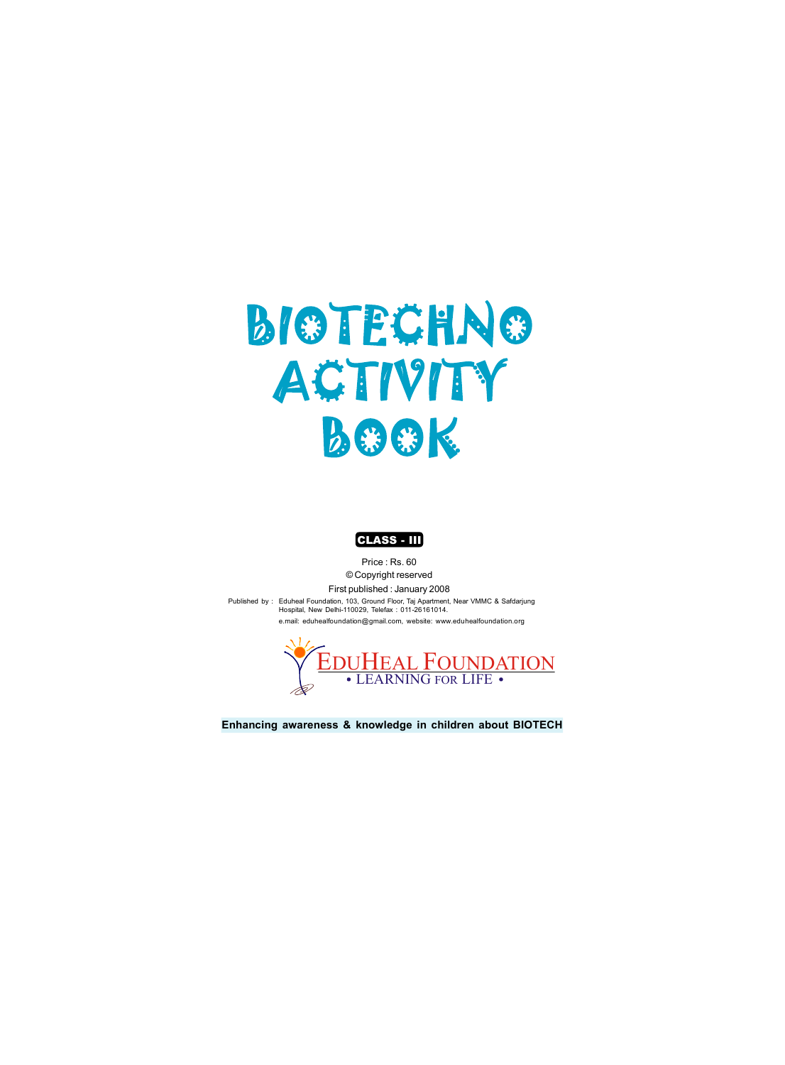# **BIOTECHNO ACTIVITY BOOK**



**Enhancing awareness & knowledge in children about BIOTECH**

Price : Rs. 60 © Copyright reserved

First published : January 2008

Published by : Eduheal Foundation, 103, Ground Floor, Taj Apartment, Near VMMC & Safdarjung Hospital, New Delhi-110029, Telefax : 011-26161014. e.mail: eduhealfoundation@gmail.com, website: www.eduhealfoundation.org



LEARNING FOR LIFE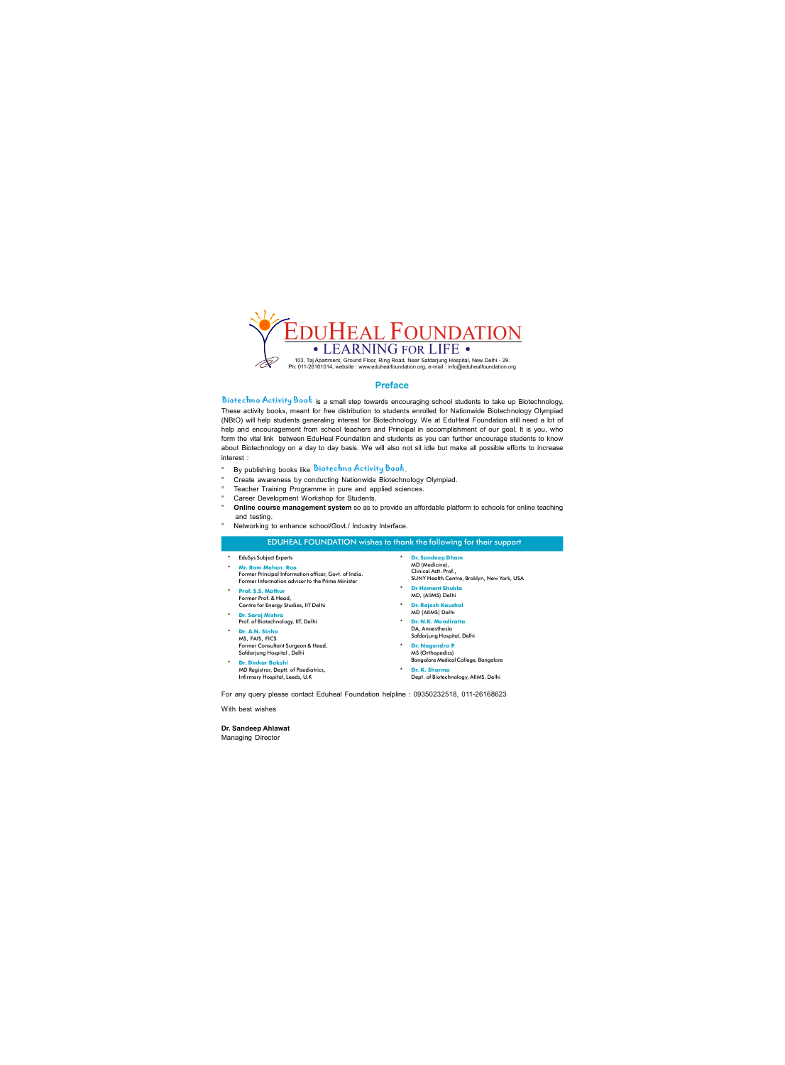

#### **Preface**

Biotechno Activity Book is a small step towards encouraging school students to take up Biotechnology. These activity books, meant for free distribution to students enrolled for Nationwide Biotechnology Olympiad (NBtO) will help students generaling interest for Biotechnology. We at EduHeal Foundation still need a lot of help and encouragement from school teachers and Principal in accomplishment of our goal. It is you, who form the vital link between EduHeal Foundation and students as you can further encourage students to know about Biotechnology on a day to day basis. We will also not sit idle but make all possible efforts to increase interest :

- $\degree$  By publishing books like **Biotechno Activity Book**.
- ° Create awareness by conducting Nationwide Biotechnology Olympiad.
- ° Teacher Training Programme in pure and applied sciences.
- ° Career Development Workshop for Students.
- ° **Online course management system** so as to provide an affordable platform to schools for online teaching and testing.
- Networking to enhance school/Govt./ Industry Interface.

#### EDUHEAL FOUNDATION wishes to thank the following for their support

- \* EduSys Subject Experts
- **\* Mr. Ram Mohan Rao** Former Principal Information officer, Govt. of India. Former Information advisor to the Prime Minister
- **\*** Prof. S.S. Mathur Former Prof. & Head, Centre for Energy Studies, IIT Delhi
- **\*** Dr. Saroj Mishra
- Prof. of Biotechnology, IIT, Delhi <sup>\*</sup> Dr. A.N. Sinha
- MS, FAIS, FICS Former Consultant Surgeon & Head, Safdarjung Hospital , Delhi
- **Dr. Dinkar Bakshi** MD Registrar, Deptt. of Paediatrics, Infirmary Hospital, Leeds, U.K
- **\*** Dr. Sandeep Dham MD (Medicine),<br>Clinical Astt. Prof., SUNY Health Centre, Broklyn, New York, USA
- $\blacksquare$  **Dr Hemant Shukla** MD, (AllMS) Delhi
- **\*** Dr. Rajesh Kaushal MD (AllMS) Delhi
- **Dr. N.K. Mendiratta**<br>DA, Anaesthesia Safdarjung Hospital, Delhi
- **\*** Dr. Nagendra R MS (Orthopedics) Bangalore Medical College, Bangalore **\*** Dr. K. Sharma
	- Dept. of Biotechnology, AllMS, Delhi

For any query please contact Eduheal Foundation helpline : 09350232518, 01126168623

With best wishes

**Dr. Sandeep Ahlawat** Managing Director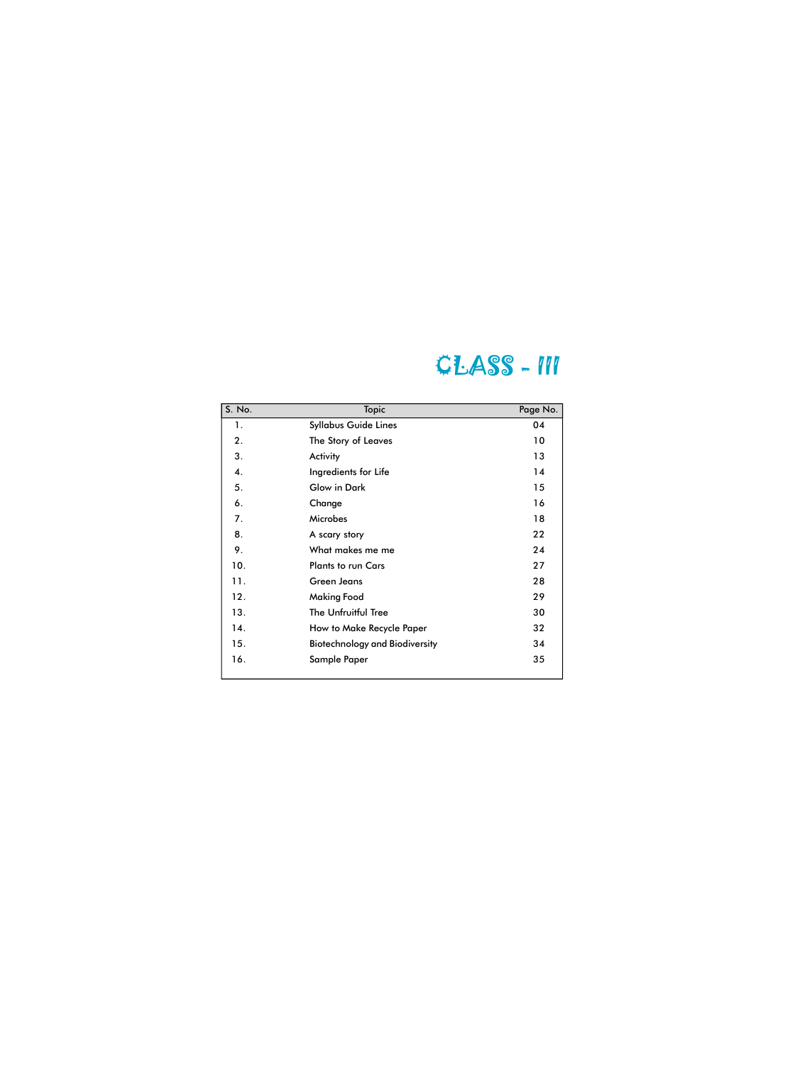# CLASS ‐ III

| S. No. | <b>Topic</b>                          | Page No. |
|--------|---------------------------------------|----------|
| 1.     | <b>Syllabus Guide Lines</b>           | 04       |
| 2.     | The Story of Leaves                   | 10       |
| 3.     | Activity                              | 13       |
| 4.     | Ingredients for Life                  | 14       |
| 5.     | <b>Glow in Dark</b>                   | 15       |
| 6.     | Change                                | 16       |
| 7.     | <b>Microbes</b>                       | 18       |
| 8.     | A scary story                         | 22       |
| 9.     | What makes me me                      | 24       |
| 10.    | <b>Plants to run Cars</b>             | 27       |
| 11.    | <b>Green Jeans</b>                    | 28       |
| 12.    | <b>Making Food</b>                    | 29       |
| 13.    | The Unfruitful Tree                   | 30       |
| 14.    | How to Make Recycle Paper             | 32       |
| 15.    | <b>Biotechnology and Biodiversity</b> | 34       |
| 16.    | <b>Sample Paper</b>                   | 35       |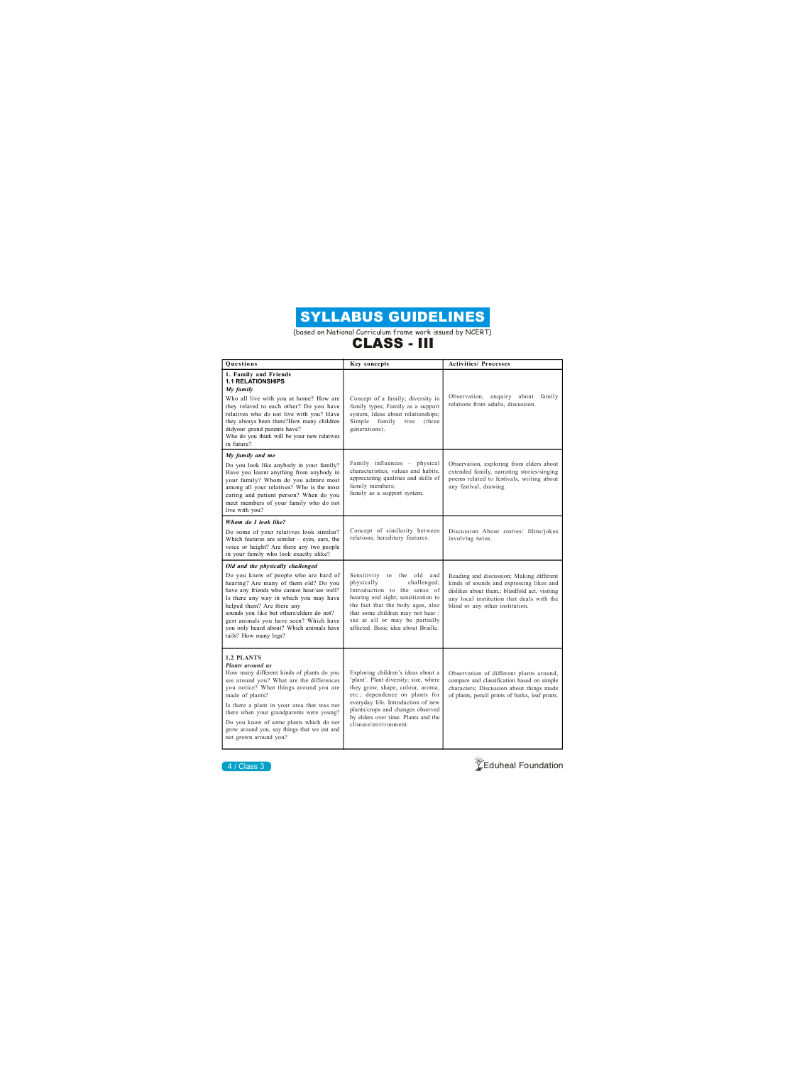| Ouestions                                                                                                                                                                                                                                                                                                                                                        | Key concepts                                                                                                                                                                                                                                                                      | <b>Activities/ Processes</b>                                                                                                                                                                                          |
|------------------------------------------------------------------------------------------------------------------------------------------------------------------------------------------------------------------------------------------------------------------------------------------------------------------------------------------------------------------|-----------------------------------------------------------------------------------------------------------------------------------------------------------------------------------------------------------------------------------------------------------------------------------|-----------------------------------------------------------------------------------------------------------------------------------------------------------------------------------------------------------------------|
|                                                                                                                                                                                                                                                                                                                                                                  |                                                                                                                                                                                                                                                                                   |                                                                                                                                                                                                                       |
| 1. Family and Friends<br><b>1.1 RELATIONSHIPS</b><br>My family<br>Who all live with you at home? How are<br>they related to each other? Do you have<br>relatives who do not live with you? Have<br>they always been there?How many children<br>didyour grand parents have?<br>Who do you think will be your new relatives<br>in future?                          | Concept of a family; diversity in<br>family types; Family as a support<br>system, Ideas about relationships;<br>Simple<br>family<br>tree<br>(three<br>generations).                                                                                                               | Observation, enquiry about family<br>relations from adults, discussion.                                                                                                                                               |
| My family and me                                                                                                                                                                                                                                                                                                                                                 |                                                                                                                                                                                                                                                                                   |                                                                                                                                                                                                                       |
| Do you look like anybody in your family?<br>Have you learnt anything from anybody in<br>your family? Whom do you admire most<br>among all your relatives? Who is the most<br>caring and patient person? When do you<br>meet members of your family who do not<br>live with you?                                                                                  | Family influences - physical<br>characteristics, values and habits,<br>appreciating qualities and skills of<br>family members;<br>family as a support system.                                                                                                                     | Observation, exploring from elders about<br>extended family, narrating stories/singing<br>poems related to festivals, writing about<br>any festival, drawing.                                                         |
| Whom do I look like?                                                                                                                                                                                                                                                                                                                                             |                                                                                                                                                                                                                                                                                   |                                                                                                                                                                                                                       |
| Do some of your relatives look similar?<br>Which features are similar $-$ eyes, ears, the<br>voice or height? Are there any two people<br>in your family who look exactly alike?                                                                                                                                                                                 | Concept of similarity between<br>relations, hereditary features.                                                                                                                                                                                                                  | Discussion About stories/ films/jokes<br>involving twins                                                                                                                                                              |
| Old and the physically challenged                                                                                                                                                                                                                                                                                                                                |                                                                                                                                                                                                                                                                                   |                                                                                                                                                                                                                       |
| Do you know of people who are hard of<br>hearing? Are many of them old? Do you<br>have any friends who cannot hear/see well?<br>Is there any way in which you may have<br>helped them? Are there any<br>sounds you like but others/elders do not?<br>gest animals you have seen? Which have<br>you only heard about? Which animals have<br>tails? How many legs? | Sensitivity to the old and<br>physically<br>challenged;<br>Introduction to the sense of<br>hearing and sight; sensitization to<br>the fact that the body ages, also<br>that some children may not hear /<br>see at all or may be partially<br>affected. Basic idea about Braille. | Reading and discussion; Making different<br>kinds of sounds and expressing likes and<br>dislikes about them.; blindfold act, visiting<br>any local institution that deals with the<br>blind or any other institution. |
| <b>1.2 PLANTS</b><br><b>Plants around us</b><br>How many different kinds of plants do you<br>see around you? What are the differences<br>you notice? What things around you are<br>made of plants?                                                                                                                                                               | Exploring children's ideas about a<br>'plant'. Plant diversity; size, where<br>they grow, shape, colour, aroma,<br>etc.; dependence on plants for                                                                                                                                 | Observation of different plants around,<br>compare and classification based on simple<br>characters; Discussion about things made<br>of plants, pencil prints of barks, leaf prints.                                  |

| grow around you, say things that we eat and<br>not grown around you? |
|----------------------------------------------------------------------|
|----------------------------------------------------------------------|



**4 / Class 3 Eduheal Foundation** 



(based on National Curriculum frame work issued by NCERT)

#### CLASS - III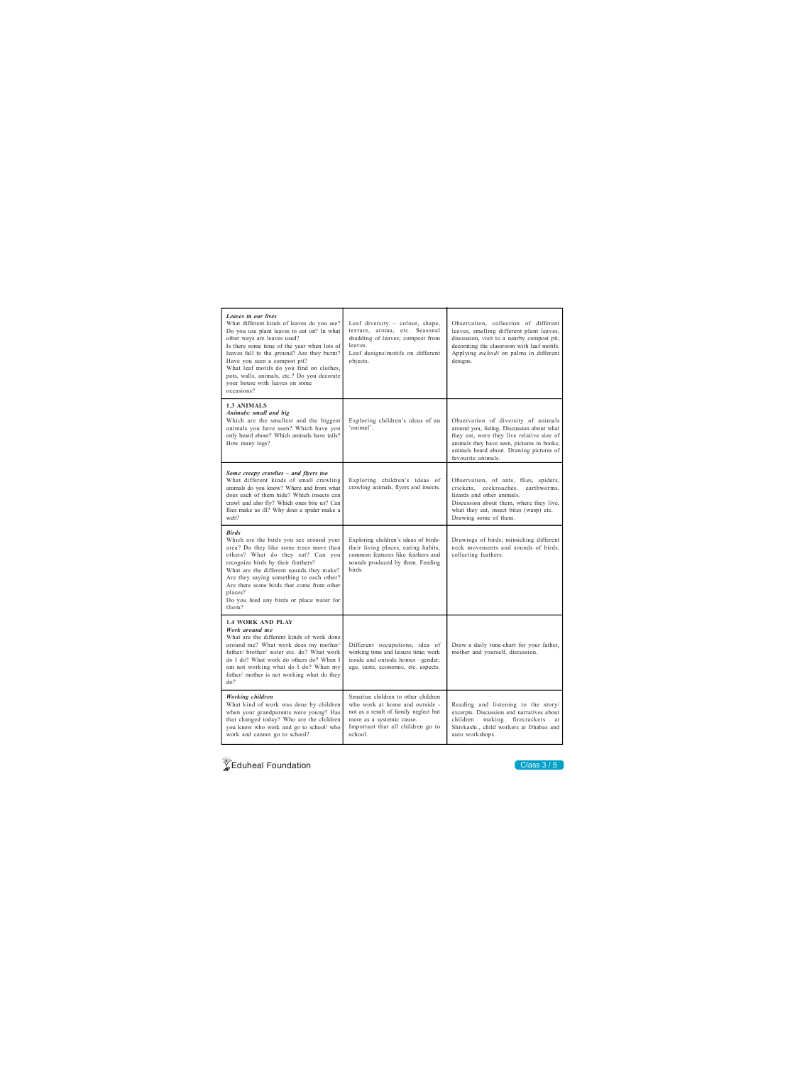



| Leaves in our lives<br>What different kinds of leaves do you see?<br>Do you use plant leaves to eat on? In what<br>other ways are leaves used?<br>Is there some time of the year when lots of<br>leaves fall to the ground? Are they burnt?<br>Have you seen a compost pit?<br>What leaf motifs do you find on clothes,<br>pots, walls, animals, etc.? Do you decorate<br>your house with leaves on some<br>occasions? | Leaf diversity $-$ colour, shape,<br>texture, aroma, etc. Seasonal<br>shedding of leaves; compost from<br>leaves.<br>Leaf designs/motifs on different<br>objects. | Observation, collection of different<br>leaves, smelling different plant leaves,<br>discussion, visit to a nearby compost pit,<br>decorating the classroom with leaf motifs.<br>Applying mehndi on palms in different<br>designs.              |
|------------------------------------------------------------------------------------------------------------------------------------------------------------------------------------------------------------------------------------------------------------------------------------------------------------------------------------------------------------------------------------------------------------------------|-------------------------------------------------------------------------------------------------------------------------------------------------------------------|------------------------------------------------------------------------------------------------------------------------------------------------------------------------------------------------------------------------------------------------|
| 1.3 ANIMALS<br>Animals: small and big<br>Which are the smallest and the biggest<br>animals you have seen? Which have you<br>only heard about? Which animals have tails?<br>How many legs?                                                                                                                                                                                                                              | Exploring children's ideas of an<br>'animal'.                                                                                                                     | Observation of diversity of animals<br>around you, listing, Discussion about what<br>they eat, were they live relative size of<br>animals they have seen, pictures in books,<br>animals heard about. Drawing pictures of<br>favourite animals. |
| Some creepy crawlies - and flyers too<br>What different kinds of small crawling<br>animals do you know? Where and from what<br>does each of them hide? Which insects can<br>crawl and also fly? Which ones bite us? Can<br>flies make us ill? Why does a spider make a<br>web?                                                                                                                                         | Exploring children's ideas of<br>crawling animals, flyers and insects.                                                                                            | Observation, of ants, flies, spiders,<br>crickets, cockroaches,<br>earthworms,<br>lizards and other animals.<br>Discussion about them, where they live,<br>what they eat, insect bites (wasp) etc.<br>Drawing some of them.                    |
| <b>Birds</b><br>Which are the birds you see around your<br>area? Do they like some trees more than<br>others? What do they eat? Can you<br>recognize birds by their feathers?<br>What are the different sounds they make?<br>Are they saying something to each other?<br>Are there some birds that come from other<br>places?<br>Do you feed any birds or place water for<br>them?                                     | Exploring children's ideas of birds-<br>their living places, eating habits,<br>common features like feathers and<br>sounds produced by them. Feeding<br>birds.    | Drawings of birds; mimicking different<br>neck movements and sounds of birds,<br>collecting feathers.                                                                                                                                          |
| <b>1.4 WORK AND PLAY</b><br>Work around me<br>What are the different kinds of work done<br>around me? What work does my mother/<br>father/ brother/ sister etc. do? What work<br>do I do? What work do others do? When I<br>am not working what do I do? When my<br>father/ mother is not working what do they<br>do?                                                                                                  | Different occupations, idea of<br>working time and leisure time; work<br>inside and outside homes -gender,<br>age, caste, economic, etc. aspects.                 | Draw a daily time-chart for your father,<br>mother and yourself, discussion.                                                                                                                                                                   |
| Working children                                                                                                                                                                                                                                                                                                                                                                                                       | Sensitize children to other children                                                                                                                              |                                                                                                                                                                                                                                                |

| What kind of work was done by children who work at home and outside - |                                       | Reading and listening to the story        |
|-----------------------------------------------------------------------|---------------------------------------|-------------------------------------------|
| when your grandparents were young? Has                                | not as a result of family neglect but | excerpts. Discussion and narratives about |
| that changed today? Who are the children                              | more as a systemic cause.             | children making firecrackers at           |
| you know who work and go to school/ who                               | Important that all children go to     | Shivkashi., child workers at Dhabas and   |
| work and cannot go to school?                                         | school.                               | auto workshops.                           |
|                                                                       |                                       |                                           |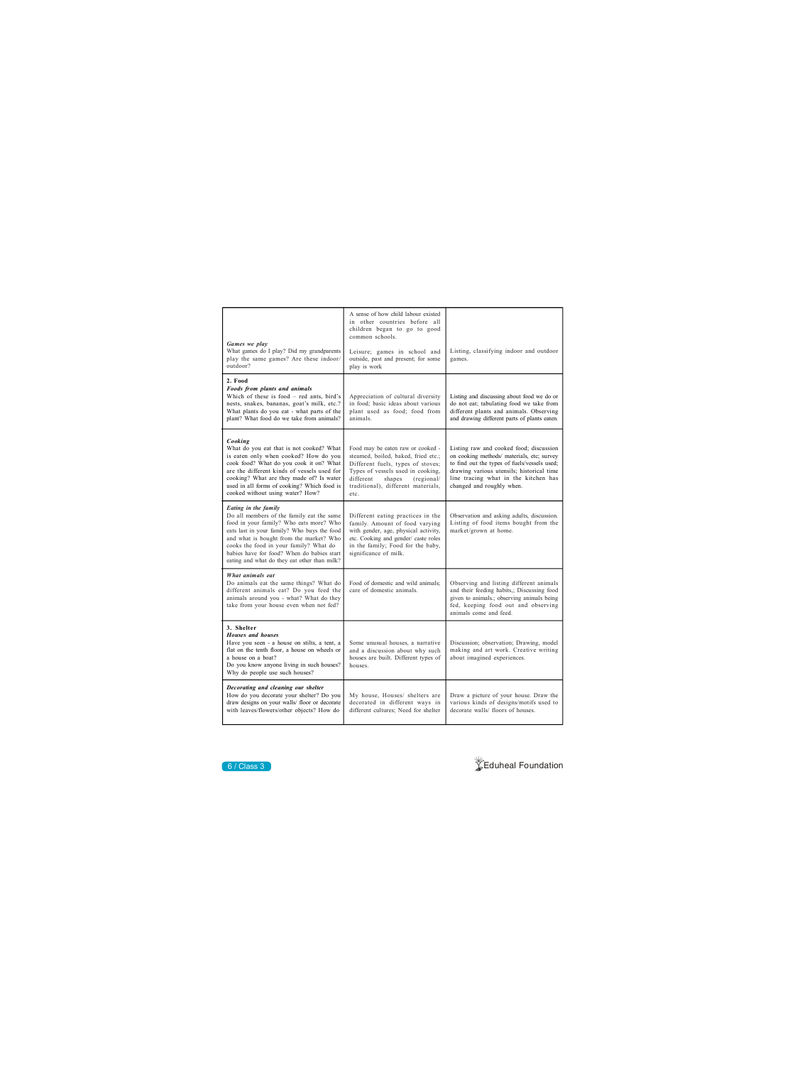

| Games we play                                                                                                                                                                                                                                                                                                                                  | A sense of how child labour existed<br>in other countries before all<br>children began to go to good<br>common schools.                                                                                                                        |                                                                                                                                                                                                                                                         |
|------------------------------------------------------------------------------------------------------------------------------------------------------------------------------------------------------------------------------------------------------------------------------------------------------------------------------------------------|------------------------------------------------------------------------------------------------------------------------------------------------------------------------------------------------------------------------------------------------|---------------------------------------------------------------------------------------------------------------------------------------------------------------------------------------------------------------------------------------------------------|
| What games do I play? Did my grandparents<br>play the same games? Are these indoor/<br>outdoor?                                                                                                                                                                                                                                                | Leisure; games in school and<br>outside, past and present; for some<br>play is work                                                                                                                                                            | Listing, classifying indoor and outdoor<br>games.                                                                                                                                                                                                       |
| 2. Food<br><b>Foods from plants and animals</b><br>Which of these is food – red ants, bird's<br>nests, snakes, bananas, goat's milk, etc.?<br>What plants do you eat - what parts of the<br>plant? What food do we take from animals?                                                                                                          | Appreciation of cultural diversity<br>in food; basic ideas about various<br>plant used as food; food from<br>animals.                                                                                                                          | Listing and discussing about food we do or<br>do not eat; tabulating food we take from<br>different plants and animals. Observing<br>and drawing different parts of plants eaten.                                                                       |
| Cooking<br>What do you eat that is not cooked? What<br>is eaten only when cooked? How do you<br>cook food? What do you cook it on? What<br>are the different kinds of vessels used for<br>cooking? What are they made of? Is water<br>used in all forms of cooking? Which food is<br>cooked without using water? How?                          | Food may be eaten raw or cooked -<br>steamed, boiled, baked, fried etc.;<br>Different fuels, types of stoves;<br>Types of vessels used in cooking,<br>different<br>shapes<br>$^{\rm (regional/}$<br>traditional), different materials,<br>etc. | Listing raw and cooked food; discussion<br>on cooking methods/ materials, etc; survey<br>to find out the types of fuels/vessels used;<br>drawing various utensils; historical time<br>line tracing what in the kitchen has<br>changed and roughly when. |
| Eating in the family<br>Do all members of the family eat the same<br>food in your family? Who eats more? Who<br>eats last in your family? Who buys the food<br>and what is bought from the market? Who<br>cooks the food in your family? What do<br>babies have for food? When do babies start<br>eating and what do they eat other than milk? | Different eating practices in the<br>family. Amount of food varying<br>with gender, age, physical activity,<br>etc. Cooking and gender/ caste roles<br>in the family; Food for the baby,<br>significance of milk.                              | Observation and asking adults, discussion.<br>Listing of food items bought from the<br>market/grown at home.                                                                                                                                            |
| What animals eat<br>Do animals eat the same things? What do<br>different animals eat? Do you feed the<br>animals around you - what? What do they<br>take from your house even when not fed?                                                                                                                                                    | Food of domestic and wild animals;<br>care of domestic animals.                                                                                                                                                                                | Observing and listing different animals<br>and their feeding habits,; Discussing food<br>given to animals.; observing animals being<br>fed, keeping food out and observing<br>animals come and feed.                                                    |
| 3. Shelter<br><b>Houses and houses</b><br>Have you seen - a house on stilts, a tent, a<br>flat on the tenth floor, a house on wheels or<br>a house on a boat?<br>Do you know anyone living in such houses?<br>Why do people use such houses?                                                                                                   | Some unusual houses, a narrative<br>and a discussion about why such<br>houses are built. Different types of<br>houses.                                                                                                                         | Discussion; observation; Drawing, model<br>making and art work. Creative writing<br>about imagined experiences.                                                                                                                                         |
| Decorating and cleaning our shelter<br>How do you decorate your shelter? Do you                                                                                                                                                                                                                                                                | My house, Houses/ shelters are                                                                                                                                                                                                                 | Draw a picture of your house. Draw the                                                                                                                                                                                                                  |

| draw designs on your walls floor or decorate decorated in different ways in various kinds of designs/motifs used to |                                                                         |  |
|---------------------------------------------------------------------------------------------------------------------|-------------------------------------------------------------------------|--|
| with leaves/flowers/other objects? How do                                                                           | different cultures: Need for shelter   decorate walls floors of houses. |  |
|                                                                                                                     |                                                                         |  |

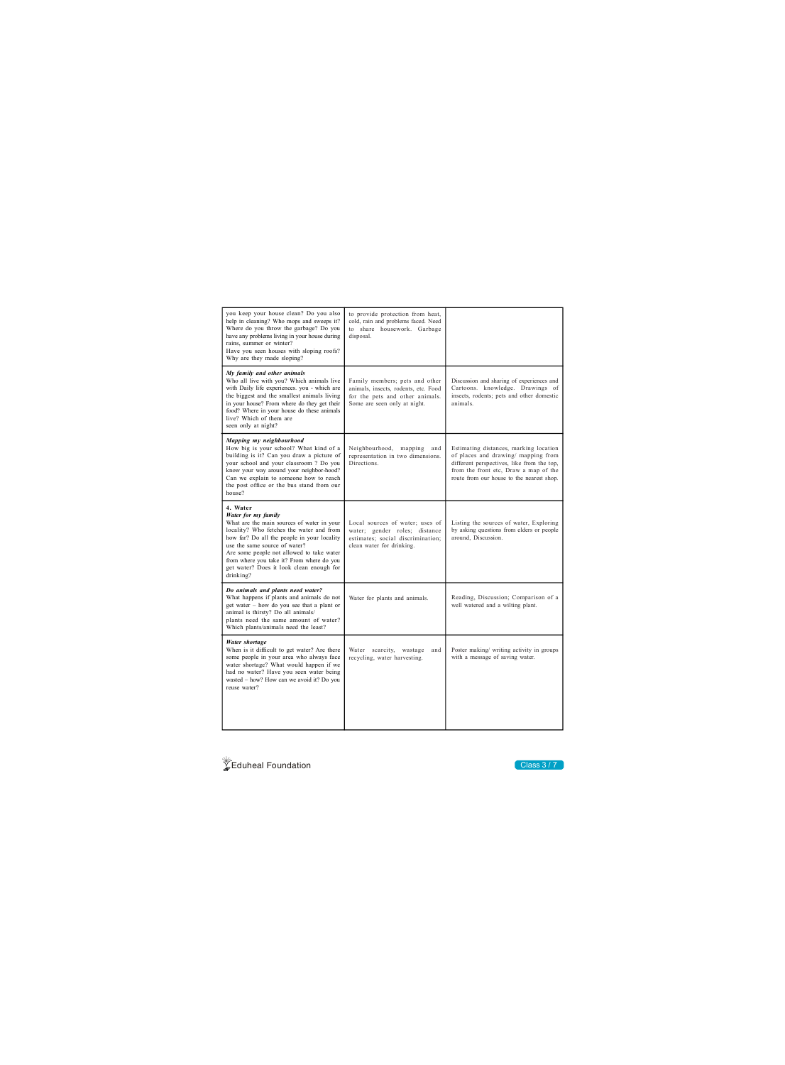



| you keep your house clean? Do you also<br>help in cleaning? Who mops and sweeps it?<br>Where do you throw the garbage? Do you<br>have any problems living in your house during<br>rains, summer or winter?<br>Have you seen houses with sloping roofs?<br>Why are they made sloping?                                                                         | to provide protection from heat,<br>cold, rain and problems faced. Need<br>to share housework. Garbage<br>disposal.                       |                                                                                                                                                                                                                   |
|--------------------------------------------------------------------------------------------------------------------------------------------------------------------------------------------------------------------------------------------------------------------------------------------------------------------------------------------------------------|-------------------------------------------------------------------------------------------------------------------------------------------|-------------------------------------------------------------------------------------------------------------------------------------------------------------------------------------------------------------------|
| My family and other animals<br>Who all live with you? Which animals live<br>with Daily life experiences. you - which are<br>the biggest and the smallest animals living<br>in your house? From where do they get their<br>food? Where in your house do these animals<br>live? Which of them are<br>seen only at night?                                       | Family members; pets and other<br>animals, insects, rodents, etc. Food<br>for the pets and other animals.<br>Some are seen only at night. | Discussion and sharing of experiences and<br>Cartoons. knowledge. Drawings of<br>insects, rodents; pets and other domestic<br>animals.                                                                            |
| Mapping my neighbourhood<br>How big is your school? What kind of a<br>building is it? Can you draw a picture of<br>your school and your classroom ? Do you<br>know your way around your neighbor-hood?<br>Can we explain to someone how to reach<br>the post office or the bus stand from our<br>house?                                                      | Neighbourhood,<br>mapping<br>and<br>representation in two dimensions.<br>Directions.                                                      | Estimating distances, marking location<br>of places and drawing/ mapping from<br>different perspectives, like from the top,<br>from the front etc, Draw a map of the<br>route from our house to the nearest shop. |
| 4. Water<br>Water for my family<br>What are the main sources of water in your<br>locality? Who fetches the water and from<br>how far? Do all the people in your locality<br>use the same source of water?<br>Are some people not allowed to take water<br>from where you take it? From where do you<br>get water? Does it look clean enough for<br>drinking? | Local sources of water; uses of<br>water; gender roles; distance<br>estimates; social discrimination;<br>clean water for drinking.        | Listing the sources of water, Exploring<br>by asking questions from elders or people<br>around, Discussion.                                                                                                       |
| Do animals and plants need water?<br>What happens if plants and animals do not<br>get water - how do you see that a plant or<br>animal is thirsty? Do all animals/<br>plants need the same amount of water?<br>Which plants/animals need the least?                                                                                                          | Water for plants and animals.                                                                                                             | Reading, Discussion; Comparison of a<br>well watered and a wilting plant.                                                                                                                                         |
| Water shortage<br>When is it difficult to get water? Are there<br>some people in your area who always face<br>water shortage? What would happen if we<br>had no water? Have you seen water being<br>wasted – how? How can we avoid it? Do you<br>reuse water?                                                                                                | Water scarcity, wastage<br>and<br>recycling, water harvesting.                                                                            | Poster making/ writing activity in groups<br>with a message of saving water.                                                                                                                                      |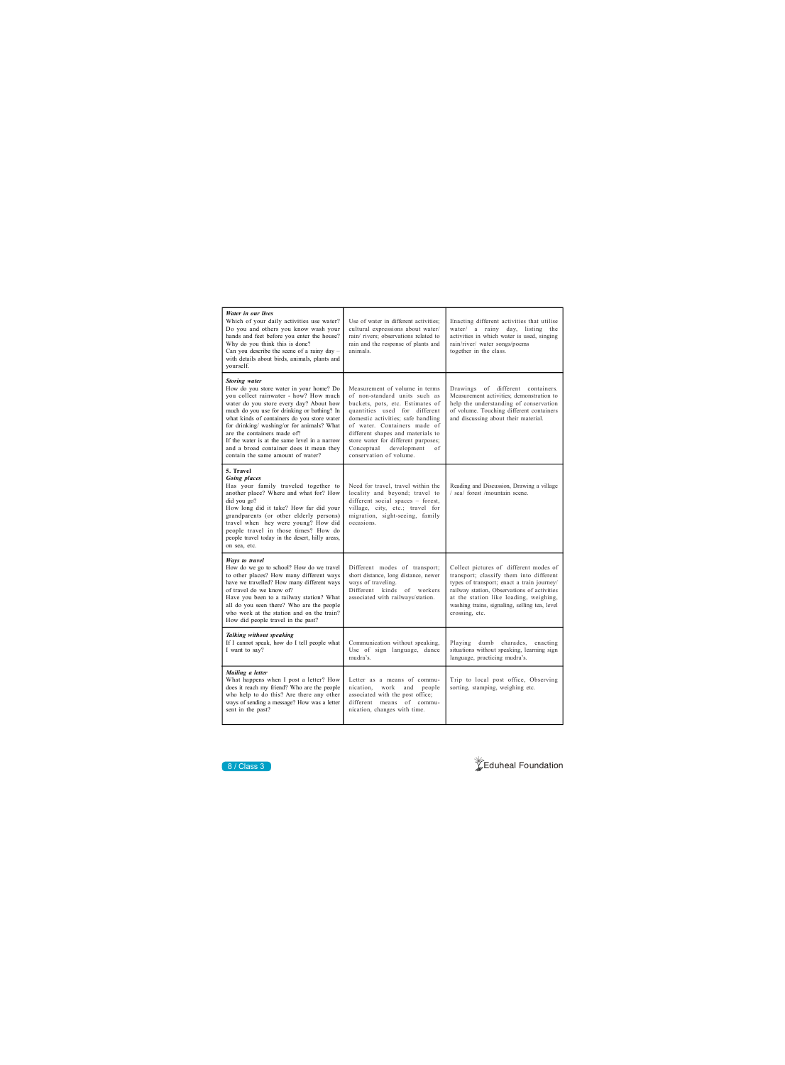who help to do this? Are there any other

**8/Class 3 Eduheal Foundation** 

| Water in our lives<br>Which of your daily activities use water?<br>Do you and others you know wash your<br>hands and feet before you enter the house?<br>Why do you think this is done?<br>Can you describe the scene of a rainy day $-$<br>with details about birds, animals, plants and<br>yourself.                                                                                                                                                          | Use of water in different activities;<br>cultural expressions about water/<br>rain/rivers; observations related to<br>rain and the response of plants and<br>animals.                                                                                                                                                                                | Enacting different activities that utilise<br>water/ a rainy day, listing the<br>activities in which water is used, singing<br>rain/river/ water songs/poems<br>together in the class.                                                                                                      |
|-----------------------------------------------------------------------------------------------------------------------------------------------------------------------------------------------------------------------------------------------------------------------------------------------------------------------------------------------------------------------------------------------------------------------------------------------------------------|------------------------------------------------------------------------------------------------------------------------------------------------------------------------------------------------------------------------------------------------------------------------------------------------------------------------------------------------------|---------------------------------------------------------------------------------------------------------------------------------------------------------------------------------------------------------------------------------------------------------------------------------------------|
| <b>Storing</b> water<br>How do you store water in your home? Do<br>you collect rainwater - how? How much<br>water do you store every day? About how<br>much do you use for drinking or bathing? In<br>what kinds of containers do you store water<br>for drinking/ washing/or for animals? What<br>are the containers made of?<br>If the water is at the same level in a narrow<br>and a broad container does it mean they<br>contain the same amount of water? | Measurement of volume in terms<br>of non-standard units such as<br>buckets, pots, etc. Estimates of<br>quantities used for different<br>domestic activities; safe handling<br>of water. Containers made of<br>different shapes and materials to<br>store water for different purposes;<br>Conceptual<br>development<br>of<br>conservation of volume. | Drawings of different containers.<br>Measurement activities; demonstration to<br>help the understanding of conservation<br>of volume. Touching different containers<br>and discussing about their material.                                                                                 |
| 5. Travel<br>Going places<br>Has your family traveled together to<br>another place? Where and what for? How<br>did you go?<br>How long did it take? How far did your<br>grandparents (or other elderly persons)<br>travel when hey were young? How did<br>people travel in those times? How do<br>people travel today in the desert, hilly areas,<br>on sea, etc.                                                                                               | Need for travel, travel within the<br>locality and beyond; travel to<br>different social spaces - forest,<br>village, city, etc.; travel for<br>migration, sight-seeing, family<br>occasions.                                                                                                                                                        | Reading and Discussion, Drawing a village<br>/ sea/ forest /mountain scene.                                                                                                                                                                                                                 |
| Ways to travel<br>How do we go to school? How do we travel<br>to other places? How many different ways<br>have we travelled? How many different ways<br>of travel do we know of?<br>Have you been to a railway station? What<br>all do you seen there? Who are the people<br>who work at the station and on the train?<br>How did people travel in the past?                                                                                                    | Different modes of transport;<br>short distance, long distance, newer<br>ways of traveling.<br>Different kinds<br>of workers<br>associated with railways/station.                                                                                                                                                                                    | Collect pictures of different modes of<br>transport; classify them into different<br>types of transport; enact a train journey/<br>railway station, Observations of activities<br>at the station like loading, weighing,<br>washing trains, signaling, selling tea, level<br>crossing, etc. |
| Talking without speaking<br>If I cannot speak, how do I tell people what<br>I want to say?                                                                                                                                                                                                                                                                                                                                                                      | Communication without speaking,<br>Use of sign language, dance<br>mudra's.                                                                                                                                                                                                                                                                           | Playing<br>dumb charades,<br>enacting<br>situations without speaking, learning sign<br>language, practicing mudra's.                                                                                                                                                                        |
| Mailing a letter<br>What happens when I post a letter? How<br>does it reach my friend? Who are the people                                                                                                                                                                                                                                                                                                                                                       | Letter as a means of commu-<br>nication.<br>work<br>people<br>and                                                                                                                                                                                                                                                                                    | Trip to local post office, Observing<br>sorting, stamping, weighing etc.                                                                                                                                                                                                                    |

| ways of sending a message? How was a letter different means of commu- |                              |
|-----------------------------------------------------------------------|------------------------------|
| sent in the past?                                                     | nication, changes with time. |
|                                                                       |                              |

associated with the post office;

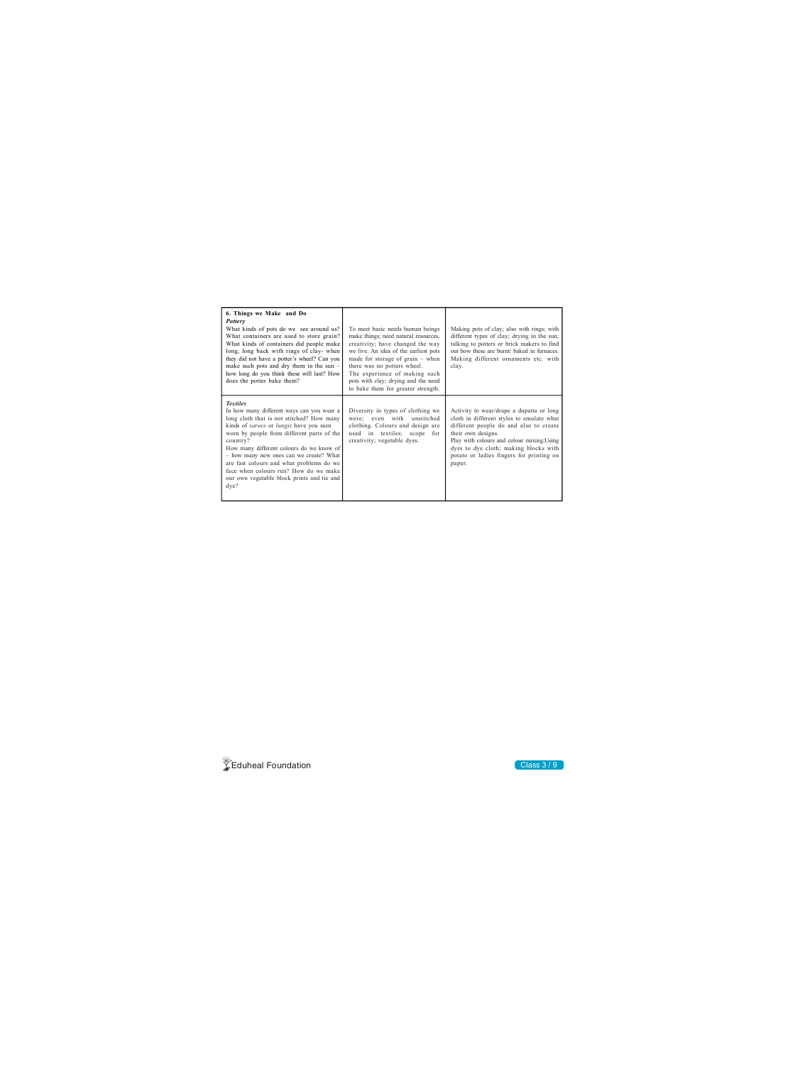



| 6. Things we Make and Do<br>Pottery<br>What kinds of pots do we see around us?<br>What containers are used to store grain?<br>What kinds of containers did people make<br>long, long back with rings of clay-when<br>they did not have a potter's wheel? Can you<br>make such pots and dry them in the sun $-$<br>how long do you think these will last? How<br>does the potter bake them?                                                                              | To meet basic needs human beings<br>make things; need natural resources,<br>creativity; have changed the way<br>we live. An idea of the earliest pots<br>made for storage of $grain - when$<br>there was no potters wheel.<br>The experience of making such<br>pots with clay; drying and the need<br>to bake them for greater strength. | Making pots of clay; also with rings; with<br>different types of clay; drying in the sun;<br>talking to potters or brick makers to find<br>out how these are burnt/ baked in furnaces.<br>Making different ornaments etc. with<br>clay.                                                            |
|-------------------------------------------------------------------------------------------------------------------------------------------------------------------------------------------------------------------------------------------------------------------------------------------------------------------------------------------------------------------------------------------------------------------------------------------------------------------------|------------------------------------------------------------------------------------------------------------------------------------------------------------------------------------------------------------------------------------------------------------------------------------------------------------------------------------------|----------------------------------------------------------------------------------------------------------------------------------------------------------------------------------------------------------------------------------------------------------------------------------------------------|
| <b>Textiles</b><br>In how many different ways can you wear a<br>long cloth that is not stitched? How many<br>kinds of <i>sarees</i> or <i>lungis</i> have you seen<br>worn by people from different parts of the<br>country?<br>How many different colours do we know of<br>- how many new ones can we create? What<br>are fast colours and what problems do we<br>face when colours run? How do we make<br>our own vegetable block prints and tie and<br>$\text{dye?}$ | Diversity in types of clothing we<br>were; even with unstitched<br>clothing. Colours and design are<br>used in textiles; scope<br>for<br>creativity; vegetable dyes.                                                                                                                                                                     | Activity to wear/drape a dupatta or long<br>cloth in different styles to emulate what<br>different people do and also to create<br>their own designs.<br>Play with colours and colour mixing; Using<br>dyes to dye cloth; making blocks with<br>potato or ladies fingers for printing on<br>paper. |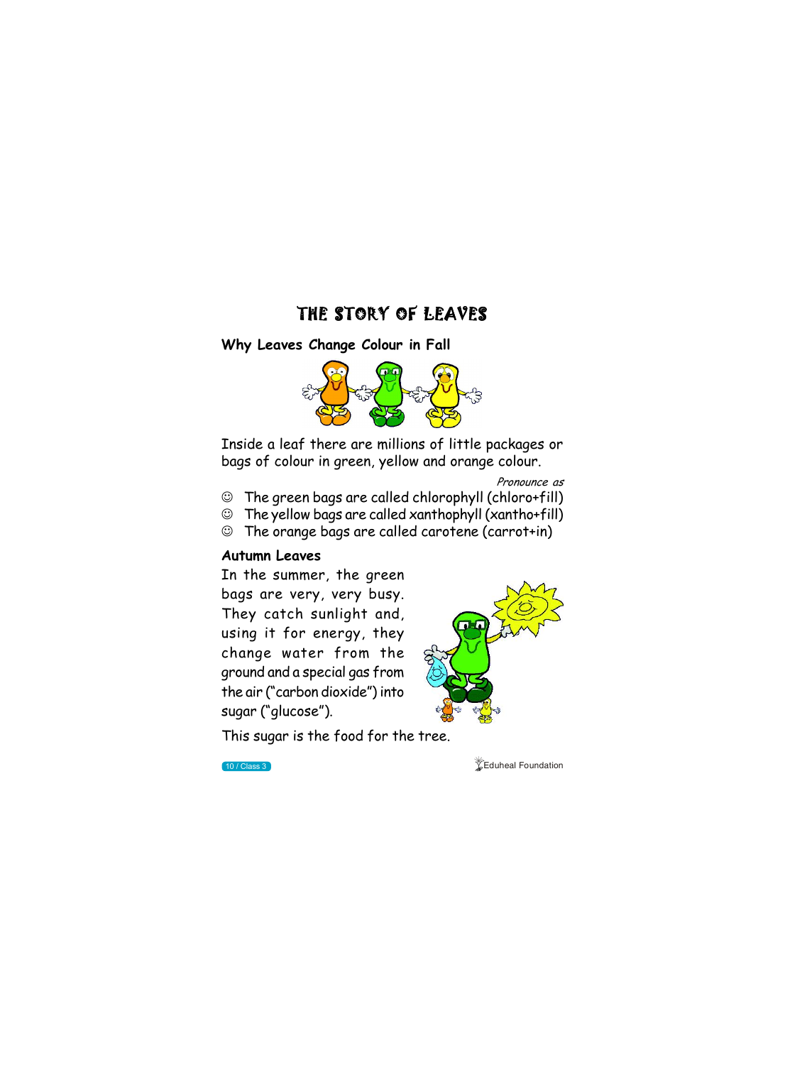### THE STORY OF LEAVES

#### **Why Leaves Change Colour in Fall**



Inside a leaf there are millions of little packages or bags of colour in green, yellow and orange colour.

Pronounce as

- $\odot$  The green bags are called chlorophyll (chloro+fill)
- $\odot$  The yellow bags are called xanthophyll (xantho+fill)
- $\odot$  The orange bags are called carotene (carrot+in)

#### **Autumn Leaves**

In the summer, the green bags are very, very busy. They catch sunlight and, using it for energy, they change water from the ground and a special gas from the air (" carbon dioxide") into



sugar ("glucose").

This sugar is the food for the tree.



**10 / Class 3 Eduheal Foundation**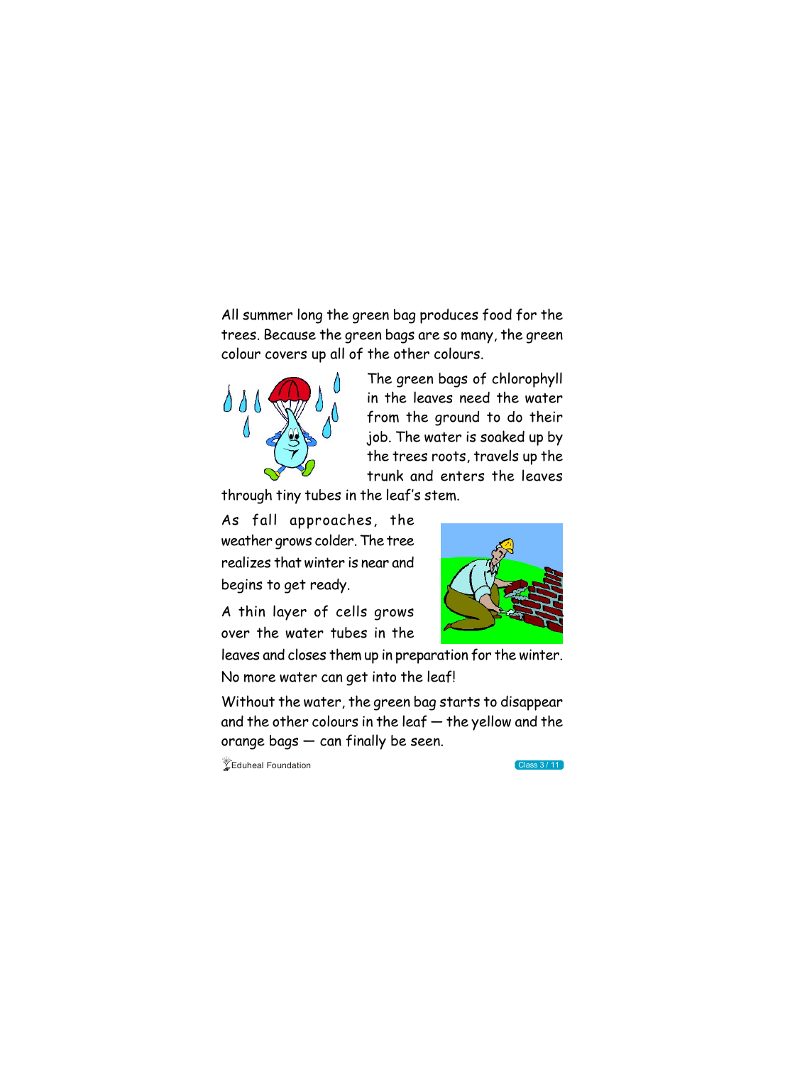#### All summer long the green bag produces food for the trees. Because the green bags are so many, the green colour covers up all of the other colours.



The green bags of chlorophyll in the leaves need the water from the ground to do their job. The water is soaked up by the trees roots, travels up the trunk and enters the leaves

through tiny tubes in the leaf's stem.

As fall approaches, the weather grows colder. The tree realizes that winter is near and begins to get ready.

A thin layer of cells grows over the water tubes in the



leaves and closes them up in preparation for the winter. No more water can get into the leaf!

Without the water, the green bag starts to disappear and the other colours in the leaf — the yellow and the orange bags — can finally be seen.

 $\sqrt{\frac{2}{\pi}}$ Eduheal Foundation Class 3 / 11

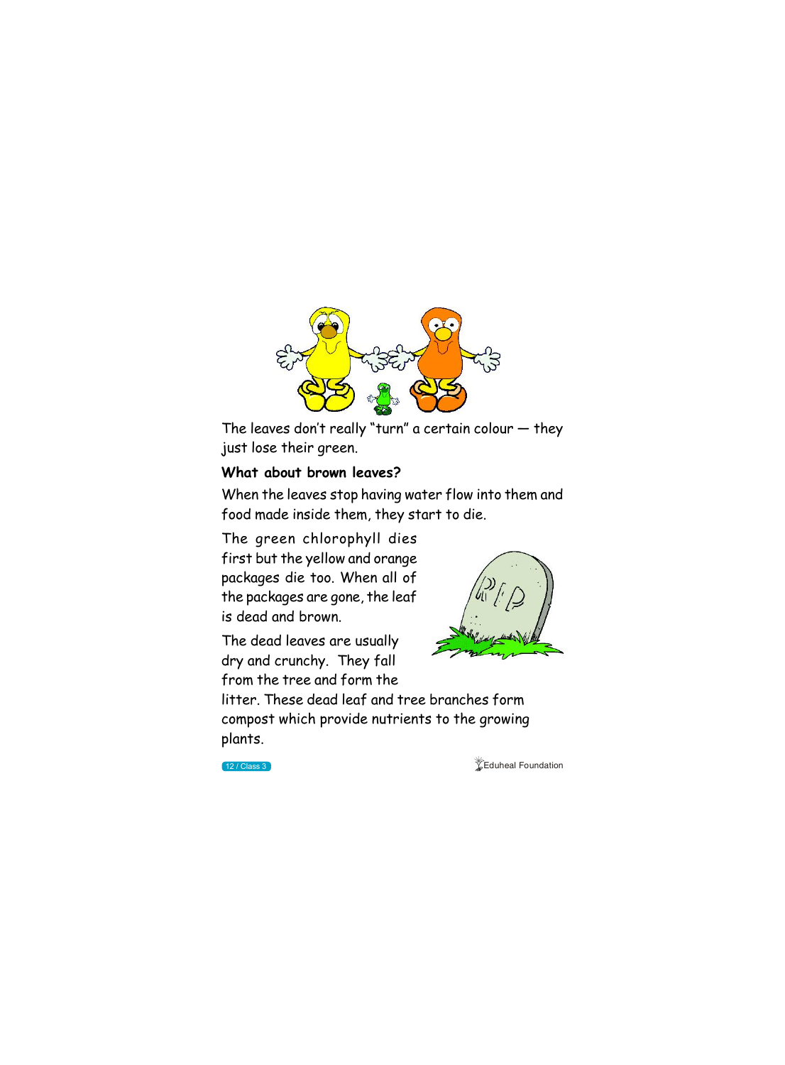

The leaves don't really "turn" a certain colour — they just lose their green.

#### **What about brown leaves?**

When the leaves stop having water flow into them and food made inside them, they start to die.

The green chlorophyll dies first but the yellow and orange packages die too. When all of the packages are gone, the leaf is dead and brown.

The dead leaves are usually dry and crunchy. They fall from the tree and form the



litter. These dead leaf and tree branches form

compost which provide nutrients to the growing plants.



**12 / Class 3 Contract and Service Contract of the Contract of Australian** Service Contract of Australian Contract of Australian Service Contract of Australian Service Contract of Australian Service Contract of Australian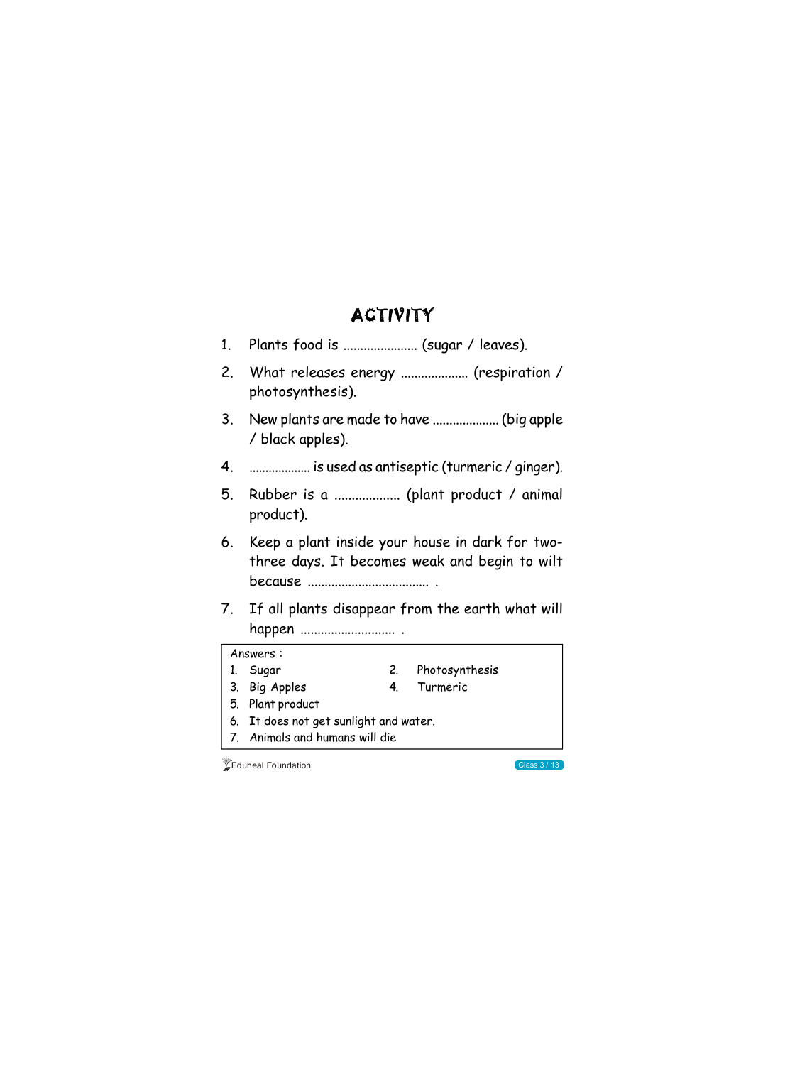## ACTIVITY

|  | Plants food is  (sugar / leaves). |  |  |
|--|-----------------------------------|--|--|
|--|-----------------------------------|--|--|

- 2. What releases energy .................... (respiration / photosynthesis).
- 3. New plants are made to have .................... (big apple / black apples).
- 4. ................... is used as antiseptic (turmeric / ginger).
- 5. Rubber is a ................... (plant product / animal product).
- 6. Keep a plant inside your house in dark for twothree days. It becomes weak and begin to wilt because .................................... .
- 7. If all plants disappear from the earth what will happen ............................ .

Answers :

- 1. Sugar 2. Photosynthesis 3. Big Apples 4. Turmeric
	-
- 
- 
- 5. Plant product
- 6. It does not get sunlight and water.
- 7. Animals and humans will die

 $\sqrt{\phantom{a}}$ Eduheal Foundation Class 3 / 13

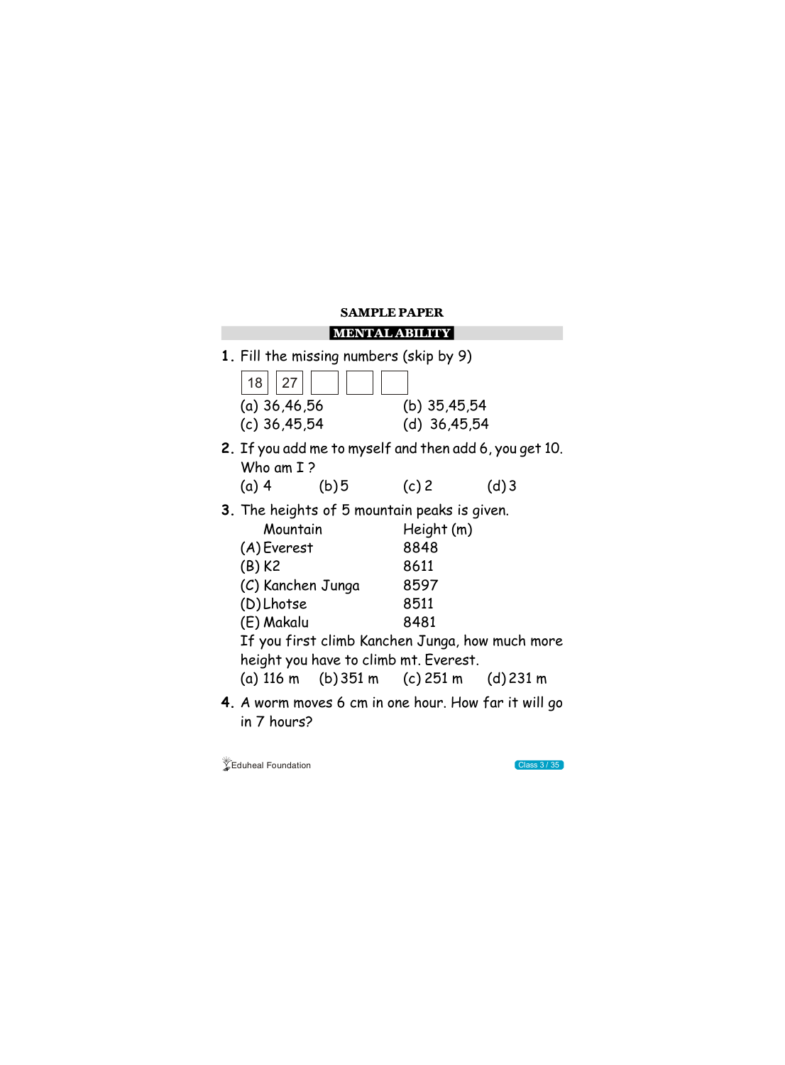



more

**1.** Fill the missing numbers (skip by 9)

**2.** If you add me to myself and then add 6, you get 10. Who am I?

|                | $18$   27 |  |                |                |
|----------------|-----------|--|----------------|----------------|
| (a) $36,46,56$ |           |  |                | (b) $35,45,54$ |
| $(c)$ 36,45,54 |           |  | (d) $36,45,54$ |                |

| $(a)$ 4 | (b)5 | $(c)$ 2 | (d)3 |
|---------|------|---------|------|
|         |      |         |      |

**3.** The heights of 5 mountain peaks is given.

| Mountain                                      | Height (m) |  |  |  |
|-----------------------------------------------|------------|--|--|--|
| $(A)$ Everest                                 | 8848       |  |  |  |
| $(B)$ K2                                      | 8611       |  |  |  |
| (C) Kanchen Junga                             | 8597       |  |  |  |
| (D) Lhotse                                    | 8511       |  |  |  |
| (E) Makalu                                    | 8481       |  |  |  |
| If you first climb Kanchen Junga, how much mo |            |  |  |  |
| height you have to climb mt. Everest.         |            |  |  |  |
| (a) 116 m (b) 351 m (c) 251 m (d) 231 m       |            |  |  |  |

**4.** A worm moves 6 cm in one hour. How far it will go in 7 hours?

#### **MENTAL ABILITY**

#### **SAMPLE PAPER**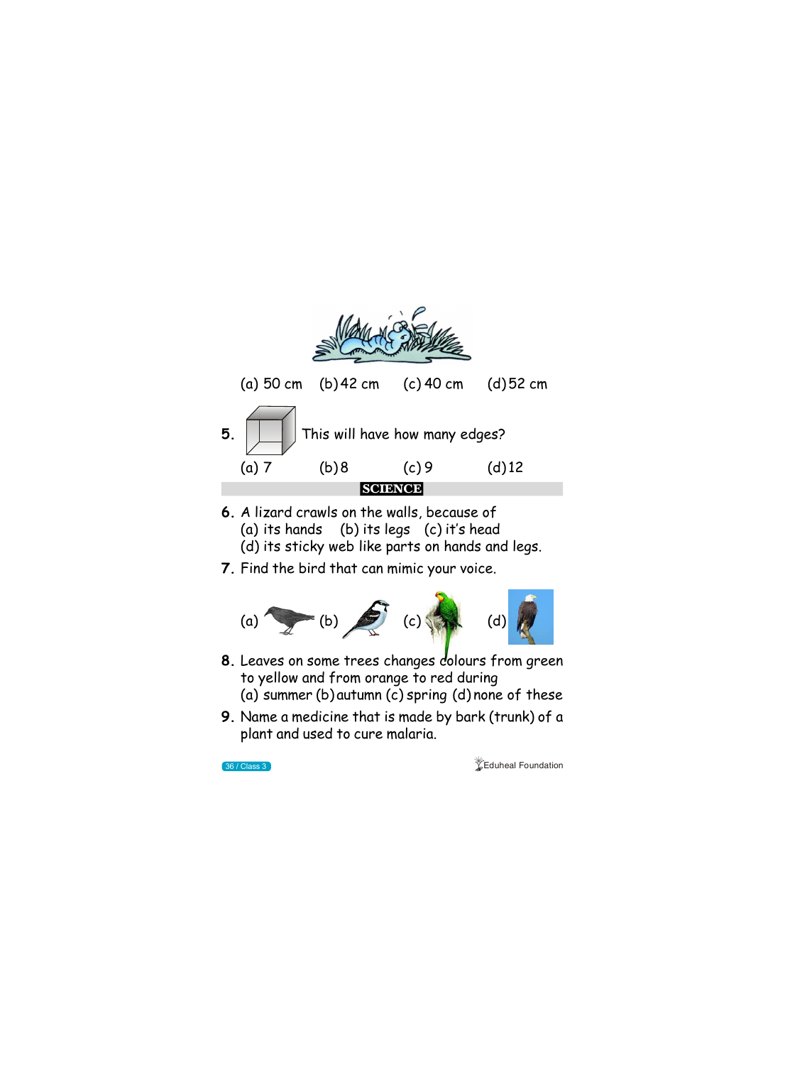

- **8.** Leaves on some trees changes colours from green to yellow and from orange to red during (a) summer (b) autumn (c) spring (d) none of these
	-
- **9.** Name a medicine that is made by bark (trunk) of a plant and used to cure malaria.



**36 / Class 3 Class 3 According to the Contract of According to the Contract of According to the Contract of According to the Contract of According to the Contract of According to the Contract of According to the Contract**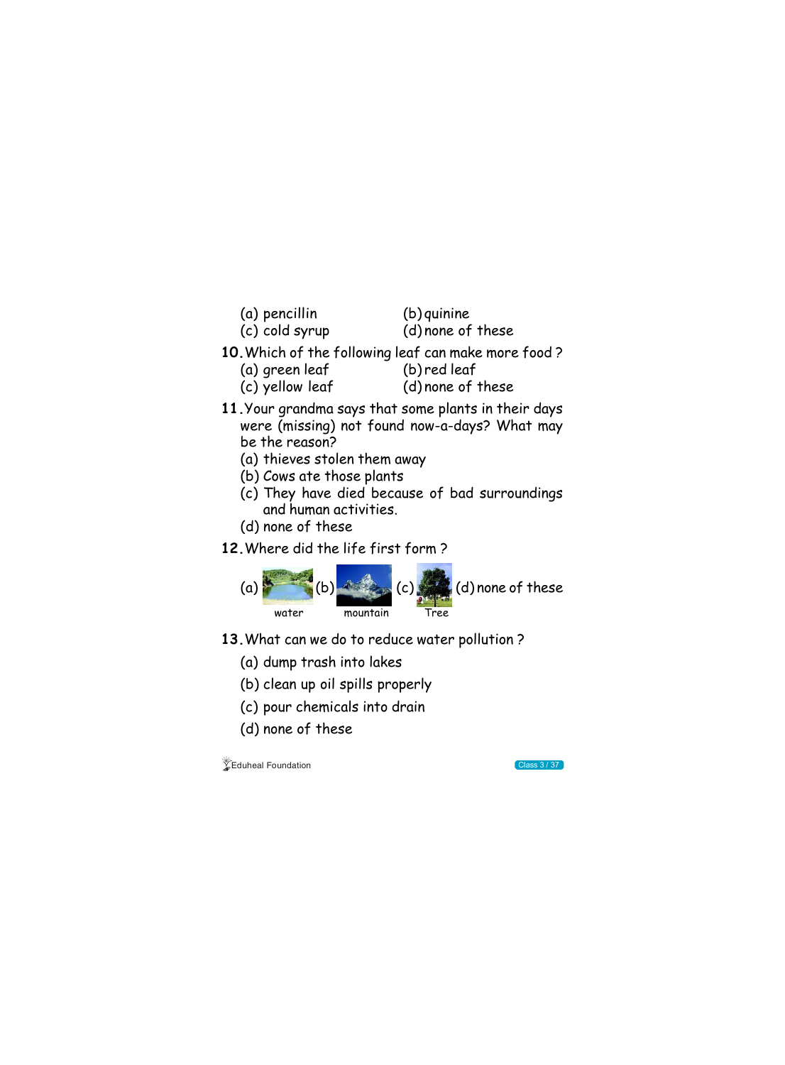- (a) pencillin (b) quinine
- (c) cold syrup (d) none of these
- **10.**Which of the following leaf can make more food ?
	- (a) green leaf (b) red leaf
		-
	- (c) yellow leaf (d) none of these
- **11.**Your grandma says that some plants in their days were (missing) not found now-a-days? What may be the reason?
	- (a) thieves stolen them away
	- (b) Cows ate those plants
	- (c) They have died because of bad surroundings and human activities.
	- (d) none of these
- **12.**Where did the life first form ?



- **13.**What can we do to reduce water pollution ?
	- (a) dump trash into lakes
	- (b) clean up oil spills properly
	-

(c) pour chemicals into drain (d) none of these

 $\sqrt[4]{$ Eduheal Foundation  $\sqrt[4]{\phantom{1}}$ 

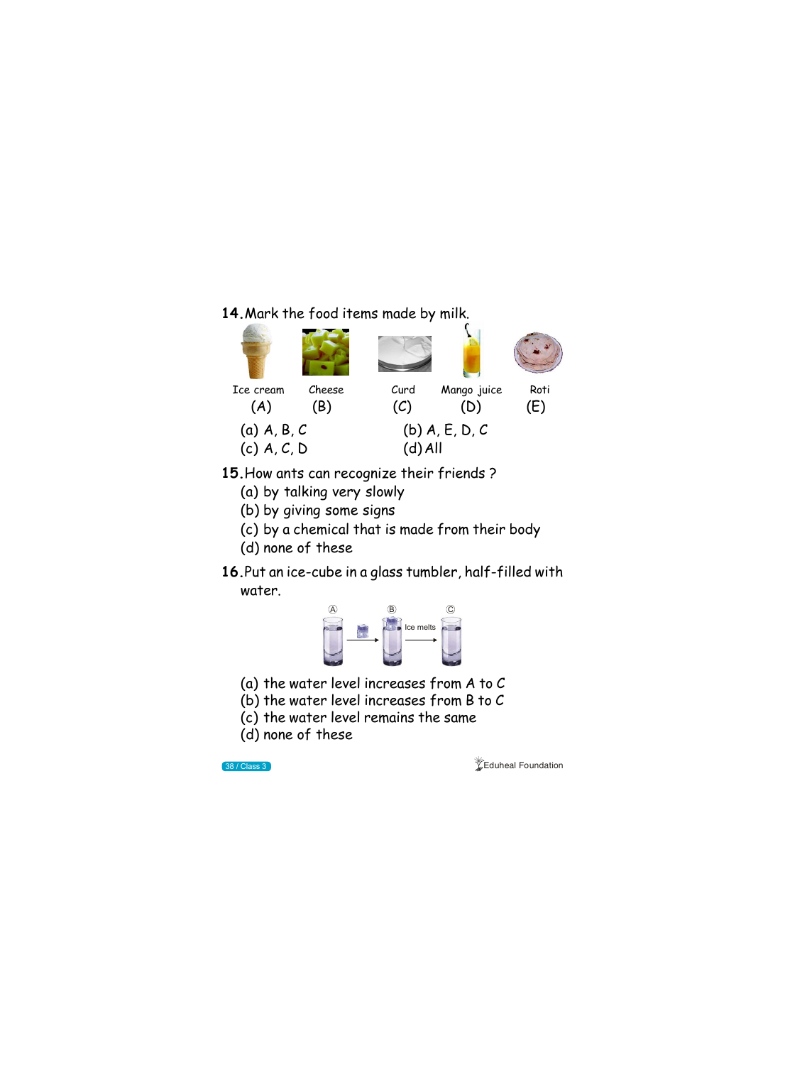#### **14.**Mark the food items made by milk.



- **15.**How ants can recognize their friends ?
	- (a) by talking very slowly
	- (b) by giving some signs
	- (c) by a chemical that is made from their body
	- (d) none of these
- **16.**Put an ice-cube in a glass tumbler, half-filled with water.



- (a) the water level increases from A to C
- 

(b) the water level increases from B to C (c) the water level remains the same (d) none of these



**38 / Class 3 Eduheal Foundation**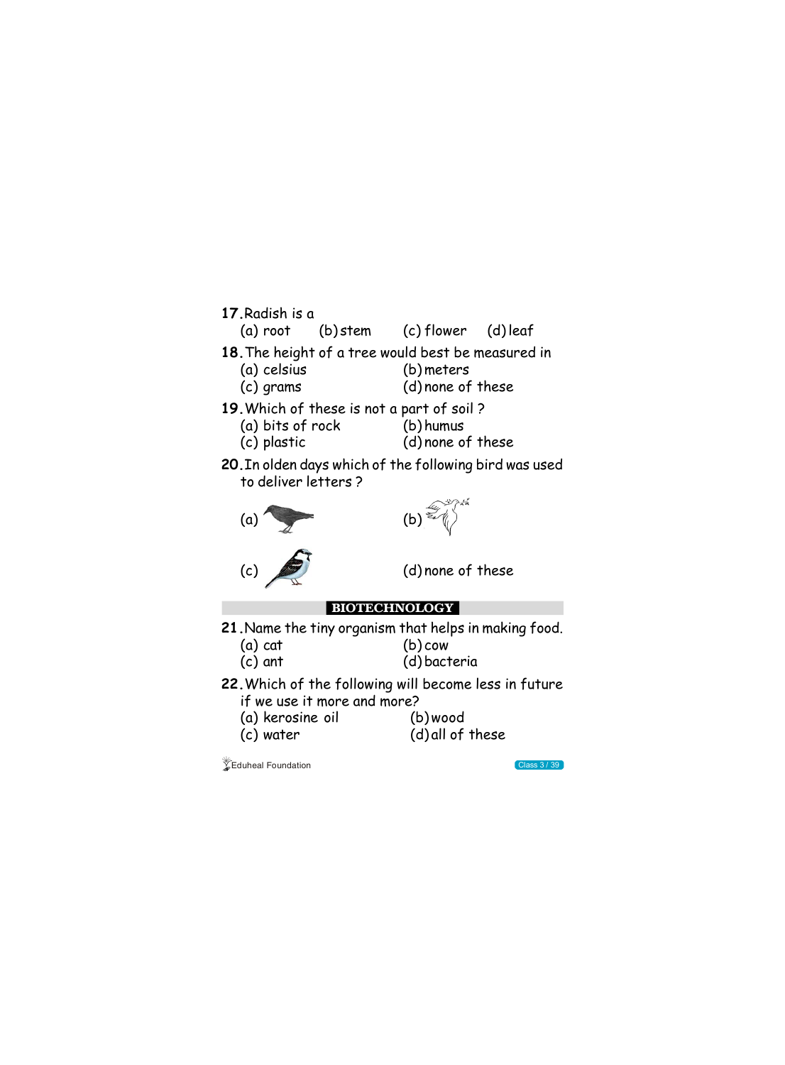

(a) root (b) stem (c) flower (d)leaf

#### **18.**The height of a tree would best be measured in

- (a) celsius (b) meters (c) grams (d) none of these
- **19.**Which of these is not a part of soil ?
	- (a) bits of rock (b) humus<br>(c) plastic (d) none o
		- (d) none of these
- **20.**In olden days which of the following bird was used to deliver letters ?



- (c) ant (d) bacteria
- **22.**Which of the following will become less in future
	-

if we use it more and more?<br>(a) kerosine oil (b) wood (a) kerosine oil<br>(c) water  $(d)$  all of these

 $\sqrt{\frac{1}{2}}$ Eduheal Foundation Class 3 / 39